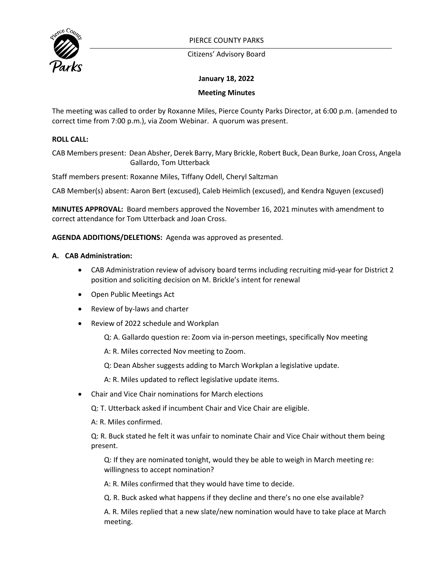

PIERCE COUNTY PARKS

Citizens' Advisory Board

# **January 18, 2022**

## **Meeting Minutes**

The meeting was called to order by Roxanne Miles, Pierce County Parks Director, at 6:00 p.m. (amended to correct time from 7:00 p.m.), via Zoom Webinar. A quorum was present.

## **ROLL CALL:**

CAB Members present: Dean Absher, Derek Barry, Mary Brickle, Robert Buck, Dean Burke, Joan Cross, Angela Gallardo, Tom Utterback

Staff members present: Roxanne Miles, Tiffany Odell, Cheryl Saltzman

CAB Member(s) absent: Aaron Bert (excused), Caleb Heimlich (excused), and Kendra Nguyen (excused)

**MINUTES APPROVAL:** Board members approved the November 16, 2021 minutes with amendment to correct attendance for Tom Utterback and Joan Cross.

**AGENDA ADDITIONS/DELETIONS:** Agenda was approved as presented.

### **A. CAB Administration:**

- CAB Administration review of advisory board terms including recruiting mid-year for District 2 position and soliciting decision on M. Brickle's intent for renewal
- Open Public Meetings Act
- Review of by-laws and charter
- Review of 2022 schedule and Workplan
	- Q: A. Gallardo question re: Zoom via in-person meetings, specifically Nov meeting
	- A: R. Miles corrected Nov meeting to Zoom.
	- Q: Dean Absher suggests adding to March Workplan a legislative update.
	- A: R. Miles updated to reflect legislative update items.
- Chair and Vice Chair nominations for March elections
	- Q: T. Utterback asked if incumbent Chair and Vice Chair are eligible.
	- A: R. Miles confirmed.

Q: R. Buck stated he felt it was unfair to nominate Chair and Vice Chair without them being present.

Q: If they are nominated tonight, would they be able to weigh in March meeting re: willingness to accept nomination?

A: R. Miles confirmed that they would have time to decide.

Q. R. Buck asked what happens if they decline and there's no one else available?

A. R. Miles replied that a new slate/new nomination would have to take place at March meeting.